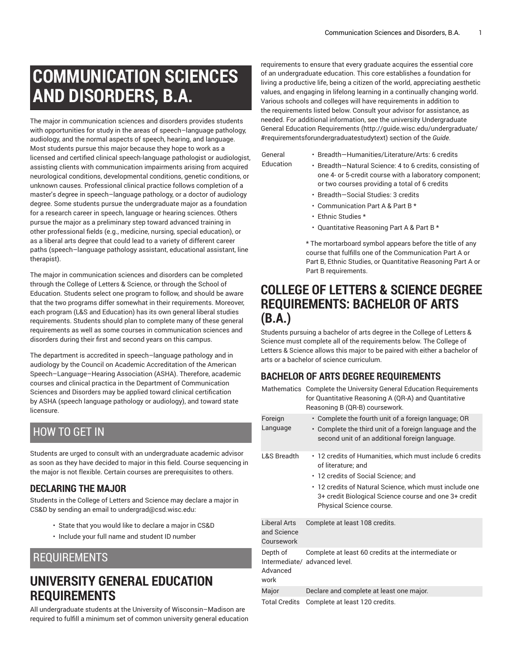# **COMMUNICATION SCIENCES AND DISORDERS, B.A.**

The major in communication sciences and disorders provides students with opportunities for study in the areas of speech–language pathology, audiology, and the normal aspects of speech, hearing, and language. Most students pursue this major because they hope to work as a licensed and certified clinical speech-language pathologist or audiologist, assisting clients with communication impairments arising from acquired neurological conditions, developmental conditions, genetic conditions, or unknown causes. Professional clinical practice follows completion of a master's degree in speech–language pathology, or a doctor of audiology degree. Some students pursue the undergraduate major as a foundation for a research career in speech, language or hearing sciences. Others pursue the major as a preliminary step toward advanced training in other professional fields (e.g., medicine, nursing, special education), or as a liberal arts degree that could lead to a variety of different career paths (speech–language pathology assistant, educational assistant, line therapist).

The major in communication sciences and disorders can be completed through the College of Letters & Science, or through the School of Education. Students select one program to follow, and should be aware that the two programs differ somewhat in their requirements. Moreover, each program (L&S and Education) has its own general liberal studies requirements. Students should plan to complete many of these general requirements as well as some courses in communication sciences and disorders during their first and second years on this campus.

The department is accredited in speech–language pathology and in audiology by the Council on Academic Accreditation of the American Speech–Language–Hearing Association (ASHA). Therefore, academic courses and clinical practica in the Department of Communication Sciences and Disorders may be applied toward clinical certification by ASHA (speech language pathology or audiology), and toward state licensure.

### HOW TO GET IN

Students are urged to consult with an undergraduate academic advisor as soon as they have decided to major in this field. Course sequencing in the major is not flexible. Certain courses are prerequisites to others.

#### **DECLARING THE MAJOR**

Students in the College of Letters and Science may declare a major in CS&D by sending an email to [undergrad@csd.wisc.edu](mailto:undergrad@csd.wisc.edu):

- State that you would like to declare a major in CS&D
- Include your full name and student ID number

### REQUIREMENTS

### **UNIVERSITY GENERAL EDUCATION REQUIREMENTS**

All undergraduate students at the University of Wisconsin–Madison are required to fulfill a minimum set of common university general education

requirements to ensure that every graduate acquires the essential core of an undergraduate education. This core establishes a foundation for living a productive life, being a citizen of the world, appreciating aesthetic values, and engaging in lifelong learning in a continually changing world. Various schools and colleges will have requirements in addition to the requirements listed below. Consult your advisor for assistance, as needed. For additional information, see the university Undergraduate General Education [Requirements](http://guide.wisc.edu/undergraduate/#requirementsforundergraduatestudytext) ([http://guide.wisc.edu/undergraduate/](http://guide.wisc.edu/undergraduate/#requirementsforundergraduatestudytext) [#requirementsforundergraduatestudytext](http://guide.wisc.edu/undergraduate/#requirementsforundergraduatestudytext)) section of the *Guide*.

| General   | • Breadth-Humanities/Literature/Arts: 6 credits          |
|-----------|----------------------------------------------------------|
| Education | • Breadth-Natural Science: 4 to 6 credits, consisting of |
|           | one 4- or 5-credit course with a laboratory component;   |
|           | or two courses providing a total of 6 credits            |

- Breadth—Social Studies: 3 credits
- Communication Part A & Part B \*
- Ethnic Studies \*

• Quantitative Reasoning Part A & Part B \*

\* The mortarboard symbol appears before the title of any course that fulfills one of the Communication Part A or Part B, Ethnic Studies, or Quantitative Reasoning Part A or Part B requirements.

### **COLLEGE OF LETTERS & SCIENCE DEGREE REQUIREMENTS: BACHELOR OF ARTS (B.A.)**

Students pursuing a bachelor of arts degree in the College of Letters & Science must complete all of the requirements below. The College of Letters & Science allows this major to be paired with either a bachelor of arts or a bachelor of science curriculum.

#### **BACHELOR OF ARTS DEGREE REQUIREMENTS**

|                                                  | Mathematics Complete the University General Education Requirements<br>for Quantitative Reasoning A (QR-A) and Quantitative<br>Reasoning B (QR-B) coursework.                                                                                                          |
|--------------------------------------------------|-----------------------------------------------------------------------------------------------------------------------------------------------------------------------------------------------------------------------------------------------------------------------|
| Foreign<br>Language                              | • Complete the fourth unit of a foreign language; OR<br>• Complete the third unit of a foreign language and the<br>second unit of an additional foreign language.                                                                                                     |
| <b>L&amp;S Breadth</b>                           | • 12 credits of Humanities, which must include 6 credits<br>of literature; and<br>• 12 credits of Social Science; and<br>• 12 credits of Natural Science, which must include one<br>3+ credit Biological Science course and one 3+ credit<br>Physical Science course. |
| <b>Liberal Arts</b><br>and Science<br>Coursework | Complete at least 108 credits.                                                                                                                                                                                                                                        |
| Depth of<br>Advanced<br>work                     | Complete at least 60 credits at the intermediate or<br>Intermediate/ advanced level.                                                                                                                                                                                  |
| Major                                            | Declare and complete at least one major.                                                                                                                                                                                                                              |
| $\cdots$                                         |                                                                                                                                                                                                                                                                       |

Total Credits Complete at least 120 credits.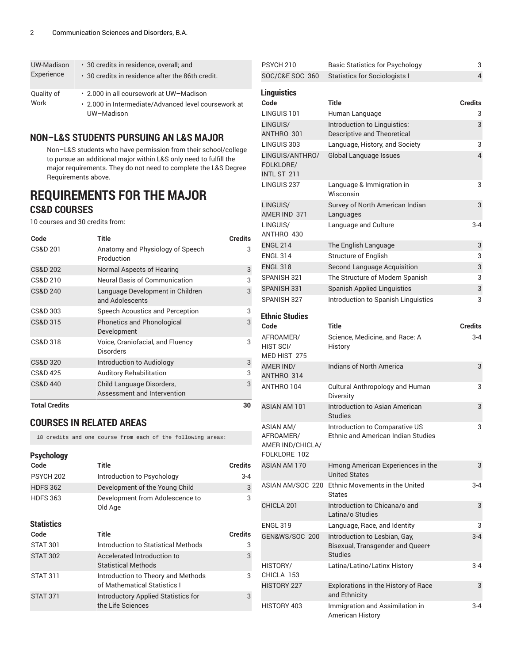| UW-Madison | • 30 credits in residence, overall, and                            |
|------------|--------------------------------------------------------------------|
| Experience | $\cdot$ 30 credits in residence after the 86th credit.             |
| Quality of | • 2.000 in all coursework at UW-Madison                            |
| Work       | • 2.000 in Intermediate/Advanced level coursework at<br>UW-Madison |

#### **NON–L&S STUDENTS PURSUING AN L&S MAJOR**

Non–L&S students who have permission from their school/college to pursue an additional major within L&S only need to fulfill the major requirements. They do not need to complete the L&S Degree Requirements above.

### **REQUIREMENTS FOR THE MAJOR CS&D COURSES**

10 courses and 30 credits from:

| Code                 | Title                                                    | <b>Credits</b> |
|----------------------|----------------------------------------------------------|----------------|
| CS&D 201             | Anatomy and Physiology of Speech<br>Production           | 3              |
| CS&D 202             | Normal Aspects of Hearing                                | 3              |
| CS&D 210             | Neural Basis of Communication                            | 3              |
| <b>CS&amp;D 240</b>  | Language Development in Children<br>and Adolescents      | 3              |
| CS&D 303             | Speech Acoustics and Perception                          | 3              |
| CS&D 315             | Phonetics and Phonological<br>Development                | 3              |
| CS&D 318             | Voice, Craniofacial, and Fluency<br>Disorders            | 3              |
| <b>CS&amp;D 320</b>  | Introduction to Audiology                                | 3              |
| CS&D 425             | <b>Auditory Rehabilitation</b>                           | 3              |
| <b>CS&amp;D 440</b>  | Child Language Disorders,<br>Assessment and Intervention | 3              |
| <b>Total Credits</b> |                                                          | 30             |

#### **COURSES IN RELATED AREAS**

18 credits and one course from each of the following areas:

| <b>Psychology</b> |                                                                    |                |
|-------------------|--------------------------------------------------------------------|----------------|
| Code              | Title                                                              | <b>Credits</b> |
| <b>PSYCH 202</b>  | Introduction to Psychology                                         | $3 - 4$        |
| <b>HDFS 362</b>   | Development of the Young Child                                     | 3              |
| <b>HDFS 363</b>   | Development from Adolescence to<br>Old Age                         | 3              |
| <b>Statistics</b> |                                                                    |                |
| Code              | Title                                                              | <b>Credits</b> |
| <b>STAT 301</b>   | Introduction to Statistical Methods                                | 3              |
| <b>STAT 302</b>   | Accelerated Introduction to<br><b>Statistical Methods</b>          | 3              |
| <b>STAT 311</b>   | Introduction to Theory and Methods<br>of Mathematical Statistics I | 3              |
| <b>STAT 371</b>   | Introductory Applied Statistics for<br>the Life Sciences           | 3              |
|                   |                                                                    |                |

| PSYCH 210                                                         | Basic Statistics for Psychology                                                     | 3                       |
|-------------------------------------------------------------------|-------------------------------------------------------------------------------------|-------------------------|
| SOC/C&E SOC 360                                                   | <b>Statistics for Sociologists I</b>                                                | $\overline{\mathbf{4}}$ |
| <b>Linguistics</b>                                                |                                                                                     |                         |
| Code                                                              | <b>Title</b>                                                                        | <b>Credits</b>          |
| LINGUIS 101                                                       | Human Language                                                                      | 3                       |
| LINGUIS/<br>ANTHRO 301                                            | Introduction to Linguistics:<br>Descriptive and Theoretical                         | 3                       |
| LINGUIS 303                                                       | Language, History, and Society                                                      | 3                       |
| LINGUIS/ANTHRO/<br>FOLKLORE/<br>INTL ST 211                       | Global Language Issues                                                              | 4                       |
| LINGUIS <sub>237</sub>                                            | Language & Immigration in<br>Wisconsin                                              | 3                       |
| LINGUIS/<br>AMER IND 371                                          | Survey of North American Indian<br>Languages                                        | 3                       |
| LINGUIS/<br>ANTHRO 430                                            | Language and Culture                                                                | 3-4                     |
| <b>ENGL 214</b>                                                   | The English Language                                                                | 3                       |
| <b>ENGL 314</b>                                                   | Structure of English                                                                | 3                       |
| <b>ENGL 318</b>                                                   | <b>Second Language Acquisition</b>                                                  | 3                       |
| SPANISH 321                                                       | The Structure of Modern Spanish                                                     | 3                       |
| SPANISH 331                                                       | <b>Spanish Applied Linguistics</b>                                                  | 3                       |
| SPANISH 327                                                       | Introduction to Spanish Linguistics                                                 | 3                       |
| <b>Ethnic Studies</b>                                             |                                                                                     |                         |
| Code                                                              | <b>Title</b>                                                                        | <b>Credits</b>          |
| AFROAMER/<br>HIST SCI/<br>MED HIST 275                            | Science, Medicine, and Race: A<br>History                                           | 3-4                     |
| AMER IND/<br>ANTHRO 314                                           | Indians of North America                                                            | 3                       |
| ANTHRO 104                                                        | Cultural Anthropology and Human<br>Diversity                                        | 3                       |
| <b>ASIAN AM 101</b>                                               | Introduction to Asian American<br><b>Studies</b>                                    | 3                       |
| <b>ASIAN AM/</b><br>AFROAMER/<br>AMER IND/CHICLA/<br>FOLKLORE 102 | Introduction to Comparative US<br>Ethnic and American Indian Studies                | 3                       |
| ASIAN AM 170                                                      | Hmong American Experiences in the<br><b>United States</b>                           | 3                       |
|                                                                   | ASIAN AM/SOC 220 Ethnic Movements in the United<br>States                           | 3-4                     |
| CHICLA 201                                                        | Introduction to Chicana/o and<br>Latina/o Studies                                   | 3                       |
| <b>ENGL 319</b>                                                   | Language, Race, and Identity                                                        | 3                       |
| <b>GEN&amp;WS/SOC 200</b>                                         | Introduction to Lesbian, Gay,<br>Bisexual, Transgender and Queer+<br><b>Studies</b> | $3 - 4$                 |
| HISTORY/                                                          |                                                                                     |                         |
| CHICLA 153                                                        | Latina/Latino/Latinx History                                                        | 3-4                     |
| HISTORY 227                                                       | Explorations in the History of Race<br>and Ethnicity                                | 3                       |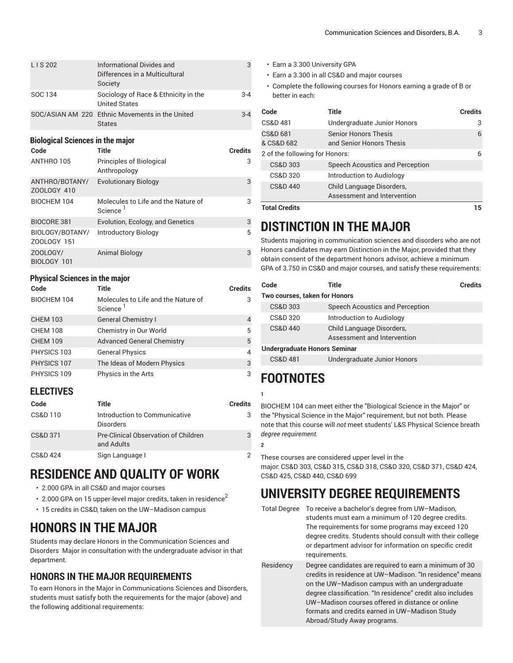| LIS 202                                         | <b>Informational Divides and</b><br>Differences in a Multicultural<br>Society | 3              |
|-------------------------------------------------|-------------------------------------------------------------------------------|----------------|
| SOC 134                                         | Sociology of Race & Ethnicity in the<br><b>United States</b>                  | $3 - 4$        |
| SOC/ASIAN AM 220                                | Ethnic Movements in the United<br><b>States</b>                               | $3 - 4$        |
| <b>Biological Sciences in the major</b><br>Code | Title                                                                         | <b>Credits</b> |
| ANTHRO 105                                      | Principles of Biological<br>Anthropology                                      | 3              |
| ANTHRO/BOTANY/<br>ZOOLOGY 410                   | <b>Evolutionary Biology</b>                                                   | 3              |
| <b>BIOCHEM 104</b>                              | Molecules to Life and the Nature of<br>Science <sup>1</sup>                   | 3              |
| <b>BIOCORE 381</b>                              | Evolution, Ecology, and Genetics                                              | 3              |
| BIOLOGY/BOTANY/<br>ZOOLOGY 151                  | <b>Introductory Biology</b>                                                   | 5              |
| ZOOLOGY/<br>BIOLOGY 101                         | Animal Biology                                                                | 3              |

#### **Physical Sciences in the major**

| Code            | Title                                                       | <b>Credits</b> |
|-----------------|-------------------------------------------------------------|----------------|
| BIOCHEM 104     | Molecules to Life and the Nature of<br>Science <sup>1</sup> | 3              |
| <b>CHEM 103</b> | <b>General Chemistry I</b>                                  | $\overline{4}$ |
| <b>CHEM 108</b> | Chemistry in Our World                                      | 5              |
| <b>CHEM 109</b> | <b>Advanced General Chemistry</b>                           | 5              |
| PHYSICS 103     | <b>General Physics</b>                                      | $\overline{4}$ |
| PHYSICS 107     | The Ideas of Modern Physics                                 | 3              |
| PHYSICS 109     | Physics in the Arts                                         | 3              |

#### **ELECTIVES**

| Code                | Title                                              | <b>Credits</b> |
|---------------------|----------------------------------------------------|----------------|
| CS&D 110            | Introduction to Communicative<br><b>Disorders</b>  | 3              |
| <b>CS&amp;D 371</b> | Pre-Clinical Observation of Children<br>and Adults | 3              |
| CS&D 424            | Sign Language I                                    | 2              |

# **RESIDENCE AND QUALITY OF WORK**

- 2.000 GPA in all CS&D and major courses
- $\cdot \,$  2.000 GPA on 15 upper-level major credits, taken in residence $^2$
- 15 credits in CS&D, taken on the UW–Madison campus

# **HONORS IN THE MAJOR**

Students may declare Honors in the Communication Sciences and Disorders Major in consultation with the undergraduate advisor in that department.

#### **HONORS IN THE MAJOR REQUIREMENTS**

To earn Honors in the Major in Communications Sciences and Disorders, students must satisfy both the requirements for the major (above) and the following additional requirements:

- Earn a 3.300 University GPA
- Earn a 3.300 in all CS&D and major courses
- Complete the following courses for Honors earning a grade of B or better in each:

| Code                              | Title                                                    | <b>Credits</b> |
|-----------------------------------|----------------------------------------------------------|----------------|
| <b>CS&amp;D 481</b>               | Undergraduate Junior Honors                              | 3              |
| <b>CS&amp;D 681</b><br>& CS&D 682 | <b>Senior Honors Thesis</b><br>and Senior Honors Thesis  | 6              |
| 2 of the following for Honors:    |                                                          | 6              |
| CS&D 303                          | Speech Acoustics and Perception                          |                |
| CS&D 320                          | Introduction to Audiology                                |                |
| CS&D 440                          | Child Language Disorders,<br>Assessment and Intervention |                |
| <b>Total Credits</b>              |                                                          | 15             |

# **DISTINCTION IN THE MAJOR**

Students majoring in communication sciences and disorders who are not Honors candidates may earn Distinction in the Major, provided that they obtain consent of the department honors advisor, achieve a minimum GPA of 3.750 in CS&D and major courses, and satisfy these requirements:

| Code                                | Title                                                    | Credits |
|-------------------------------------|----------------------------------------------------------|---------|
| Two courses, taken for Honors       |                                                          |         |
| CS&D 303                            | Speech Acoustics and Perception                          |         |
| CS&D 320                            | Introduction to Audiology                                |         |
| CS&D 440                            | Child Language Disorders,<br>Assessment and Intervention |         |
| <b>Undergraduate Honors Seminar</b> |                                                          |         |
| CS&D 481                            | Undergraduate Junior Honors                              |         |
|                                     |                                                          |         |

# **FOOTNOTES**

BIOCHEM 104 can meet either the "Biological Science in the Major" or the "Physical Science in the Major" requirement, but not both. Please note that this course will *not* meet students' L&S Physical Science breath *degree requirement.*

**2**

**1**

These courses are considered upper level in the major: CS&D 303, CS&D 315, CS&D 318, CS&D 320, CS&D 371, CS&D 424, CS&D 425, CS&D 440, CS&D 699

# **UNIVERSITY DEGREE REQUIREMENTS**

Total Degree To receive a bachelor's degree from UW–Madison, students must earn a minimum of 120 degree credits. The requirements for some programs may exceed 120 degree credits. Students should consult with their college or department advisor for information on specific credit requirements.

Residency Degree candidates are required to earn a minimum of 30 credits in residence at UW–Madison. "In residence" means on the UW–Madison campus with an undergraduate degree classification. "In residence" credit also includes UW–Madison courses offered in distance or online formats and credits earned in UW–Madison Study Abroad/Study Away programs.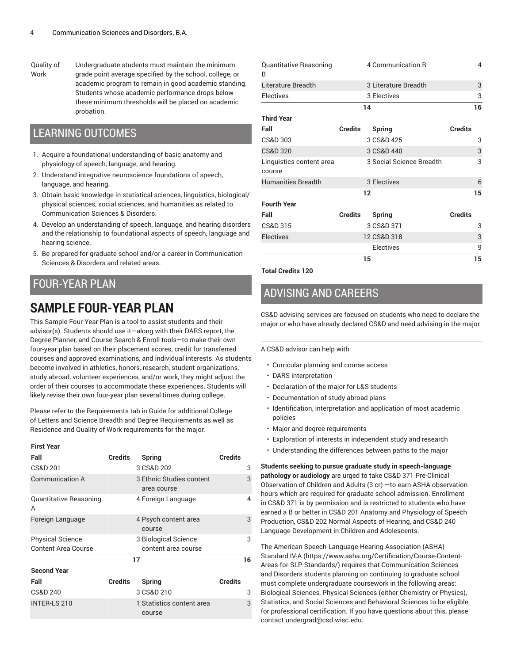Quality of Work

Undergraduate students must maintain the minimum grade point average specified by the school, college, or academic program to remain in good academic standing. Students whose academic performance drops below these minimum thresholds will be placed on academic probation.

#### LEARNING OUTCOMES

- 1. Acquire a foundational understanding of basic anatomy and physiology of speech, language, and hearing.
- 2. Understand integrative neuroscience foundations of speech, language, and hearing.
- 3. Obtain basic knowledge in statistical sciences, linguistics, biological/ physical sciences, social sciences, and humanities as related to Communication Sciences & Disorders.
- 4. Develop an understanding of speech, language, and hearing disorders and the relationship to foundational aspects of speech, language and hearing science.
- 5. Be prepared for graduate school and/or a career in Communication Sciences & Disorders and related areas.

### FOUR-YEAR PLAN

# **SAMPLE FOUR-YEAR PLAN**

This Sample Four-Year Plan is a tool to assist students and their advisor(s). Students should use it—along with their DARS report, the Degree Planner, and Course Search & Enroll tools—to make their own four-year plan based on their placement scores, credit for transferred courses and approved examinations, and individual interests. As students become involved in athletics, honors, research, student organizations, study abroad, volunteer experiences, and/or work, they might adjust the order of their courses to accommodate these experiences. Students will likely revise their own four-year plan several times during college.

Please refer to the Requirements tab in Guide for additional College of Letters and Science Breadth and Degree Requirements as well as Residence and Quality of Work requirements for the major.

#### **First Year**

| Fall                        | <b>Credits</b> | <b>Spring</b>                           | <b>Credits</b> |
|-----------------------------|----------------|-----------------------------------------|----------------|
| <b>CS&amp;D 201</b>         |                | 3 CS&D 202                              | 3              |
| <b>Communication A</b>      |                | 3 Ethnic Studies content<br>area course | 3              |
| Quantitative Reasoning<br>A |                | 4 Foreign Language                      | 4              |
| Foreign Language            |                | 4 Psych content area<br>course          | 3              |
| <b>Physical Science</b>     |                | 3 Biological Science                    | 3              |
| <b>Content Area Course</b>  |                | content area course                     |                |
|                             | 17             |                                         | 16             |
| <b>Second Year</b>          |                |                                         |                |
| Fall                        | <b>Credits</b> | Spring                                  | <b>Credits</b> |
| CS&D 240                    |                | 3 CS&D 210                              | 3              |
| <b>INTER-LS 210</b>         |                | 1 Statistics content area<br>course     | 3              |

| Quantitative Reasoning<br>B |                | 4 Communication B        | 4              |
|-----------------------------|----------------|--------------------------|----------------|
| Literature Breadth          |                | 3 Literature Breadth     | 3              |
| <b>Electives</b>            |                | 3 Electives              | 3              |
|                             | 14             |                          | 16             |
| <b>Third Year</b>           |                |                          |                |
| Fall                        | <b>Credits</b> | <b>Spring</b>            | <b>Credits</b> |
| CS&D 303                    |                | 3 CS&D 425               | 3              |
| <b>CS&amp;D 320</b>         |                | 3 CS&D 440               | 3              |
| Linguistics content area    |                | 3 Social Science Breadth | 3              |
| course                      |                |                          |                |
| <b>Humanities Breadth</b>   |                | 3 Electives              | 6              |
|                             | 12             |                          |                |
| <b>Fourth Year</b>          |                |                          |                |
| Fall                        | Credits        | Spring                   | <b>Credits</b> |
| CS&D 315                    |                | 3 CS&D 371               | 3              |
| <b>Electives</b>            |                | 12 CS&D 318              | 3              |
|                             |                | Electives                | 9              |
| 15                          |                |                          | 15             |

**Total Credits 120**

### ADVISING AND CAREERS

CS&D advising services are focused on students who need to declare the major or who have already declared CS&D and need advising in the major.

A CS&D advisor can help with:

- Curricular planning and course access
- DARS interpretation
- Declaration of the major for L&S students
- Documentation of study abroad plans
- Identification, interpretation and application of most academic policies
- Major and degree requirements
- Exploration of interests in independent study and research
- Understanding the differences between paths to the major

**Students seeking to pursue graduate study in speech-language pathology or audiology** are urged to take CS&D 371 Pre-Clinical Observation of Children and Adults (3 cr) —to earn ASHA observation hours which are required for graduate school admission. Enrollment in CS&D 371 is by permission and is restricted to students who have earned a B or better in CS&D 201 Anatomy and Physiology of Speech Production, CS&D 202 Normal Aspects of Hearing, and CS&D 240 Language Development in Children and Adolescents.

The American [Speech-Language-Hearing](https://www.asha.org/Certification/Course-Content-Areas-for-SLP-Standards/) Association (ASHA) [Standard](https://www.asha.org/Certification/Course-Content-Areas-for-SLP-Standards/) IV-A ([https://www.asha.org/Certification/Course-Content-](https://www.asha.org/Certification/Course-Content-Areas-for-SLP-Standards/)[Areas-for-SLP-Standards/](https://www.asha.org/Certification/Course-Content-Areas-for-SLP-Standards/)) requires that Communication Sciences and Disorders students planning on continuing to graduate school must complete undergraduate coursework in the following areas: Biological Sciences, Physical Sciences (either Chemistry or Physics), Statistics, and Social Sciences and Behavioral Sciences to be eligible for professional certification. If you have questions about this, please contact [undergrad@csd.wisc.edu.](mailto:undergrad@csd.wisc.edu)